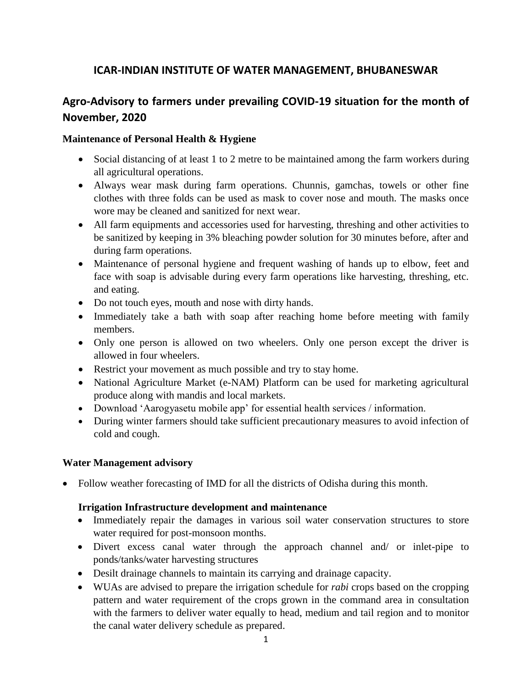## **ICAR-INDIAN INSTITUTE OF WATER MANAGEMENT, BHUBANESWAR**

# **Agro-Advisory to farmers under prevailing COVID-19 situation for the month of November, 2020**

#### **Maintenance of Personal Health & Hygiene**

- Social distancing of at least 1 to 2 metre to be maintained among the farm workers during all agricultural operations.
- Always wear mask during farm operations. Chunnis, gamchas, towels or other fine clothes with three folds can be used as mask to cover nose and mouth. The masks once wore may be cleaned and sanitized for next wear.
- All farm equipments and accessories used for harvesting, threshing and other activities to be sanitized by keeping in 3% bleaching powder solution for 30 minutes before, after and during farm operations.
- Maintenance of personal hygiene and frequent washing of hands up to elbow, feet and face with soap is advisable during every farm operations like harvesting, threshing, etc. and eating.
- Do not touch eyes, mouth and nose with dirty hands.
- Immediately take a bath with soap after reaching home before meeting with family members.
- Only one person is allowed on two wheelers. Only one person except the driver is allowed in four wheelers.
- Restrict your movement as much possible and try to stay home.
- National Agriculture Market (e-NAM) Platform can be used for marketing agricultural produce along with mandis and local markets.
- Download 'Aarogyasetu mobile app' for essential health services / information.
- During winter farmers should take sufficient precautionary measures to avoid infection of cold and cough.

#### **Water Management advisory**

• Follow weather forecasting of IMD for all the districts of Odisha during this month.

#### **Irrigation Infrastructure development and maintenance**

- Immediately repair the damages in various soil water conservation structures to store water required for post-monsoon months.
- Divert excess canal water through the approach channel and/ or inlet-pipe to ponds/tanks/water harvesting structures
- Desilt drainage channels to maintain its carrying and drainage capacity.
- WUAs are advised to prepare the irrigation schedule for *rabi* crops based on the cropping pattern and water requirement of the crops grown in the command area in consultation with the farmers to deliver water equally to head, medium and tail region and to monitor the canal water delivery schedule as prepared.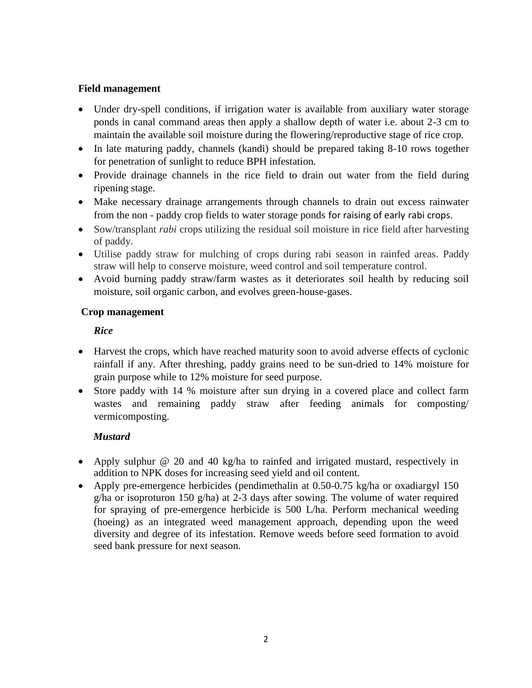#### **Field management**

- Under dry-spell conditions, if irrigation water is available from auxiliary water storage ponds in canal command areas then apply a shallow depth of water i.e. about 2-3 cm to maintain the available soil moisture during the flowering/reproductive stage of rice crop.
- In late maturing paddy, channels (kandi) should be prepared taking 8-10 rows together for penetration of sunlight to reduce BPH infestation.
- Provide drainage channels in the rice field to drain out water from the field during ripening stage.
- Make necessary drainage arrangements through channels to drain out excess rainwater from the non - paddy crop fields to water storage ponds for raising of early rabi crops.
- Sow/transplant *rabi* crops utilizing the residual soil moisture in rice field after harvesting of paddy.
- Utilise paddy straw for mulching of crops during rabi season in rainfed areas. Paddy straw will help to conserve moisture, weed control and soil temperature control.
- Avoid burning paddy straw/farm wastes as it deteriorates soil health by reducing soil moisture, soil organic carbon, and evolves green-house-gases.

#### **Crop management**

## *Rice*

- Harvest the crops, which have reached maturity soon to avoid adverse effects of cyclonic rainfall if any. After threshing, paddy grains need to be sun-dried to 14% moisture for grain purpose while to 12% moisture for seed purpose.
- Store paddy with 14 % moisture after sun drying in a covered place and collect farm wastes and remaining paddy straw after feeding animals for composting/ vermicomposting.

## *Mustard*

- Apply sulphur @ 20 and 40 kg/ha to rainfed and irrigated mustard, respectively in addition to NPK doses for increasing seed yield and oil content.
- Apply pre-emergence herbicides (pendimethalin at 0.50-0.75 kg/ha or oxadiargyl 150 g/ha or isoproturon 150 g/ha) at 2-3 days after sowing. The volume of water required for spraying of pre-emergence herbicide is 500 L/ha. Perform mechanical weeding (hoeing) as an integrated weed management approach, depending upon the weed diversity and degree of its infestation. Remove weeds before seed formation to avoid seed bank pressure for next season.